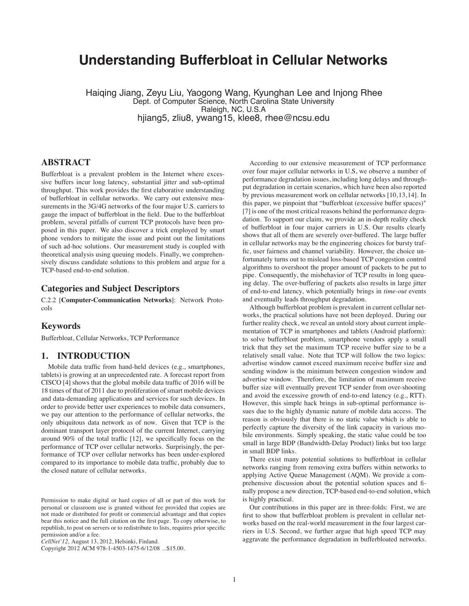# **Understanding Bufferbloat in Cellular Networks**

Haiqing Jiang, Zeyu Liu, Yaogong Wang, Kyunghan Lee and Injong Rhee Dept. of Computer Science, North Carolina State University Raleigh, NC, U.S.A hjiang5, zliu8, ywang15, klee8, rhee@ncsu.edu

# **ABSTRACT**

Bufferbloat is a prevalent problem in the Internet where excessive buffers incur long latency, substantial jitter and sub-optimal throughput. This work provides the first elaborative understanding of bufferbloat in cellular networks. We carry out extensive measurements in the 3G/4G networks of the four major U.S. carriers to gauge the impact of bufferbloat in the field. Due to the bufferbloat problem, several pitfalls of current TCP protocols have been proposed in this paper. We also discover a trick employed by smart phone vendors to mitigate the issue and point out the limitations of such ad-hoc solutions. Our measurement study is coupled with theoretical analysis using queuing models. Finally, we comprehensively discuss candidate solutions to this problem and argue for a TCP-based end-to-end solution.

## **Categories and Subject Descriptors**

C.2.2 [**Computer-Communication Networks**]: Network Protocols

## **Keywords**

Bufferbloat, Cellular Networks, TCP Performance

#### **1. INTRODUCTION**

Mobile data traffic from hand-held devices (e.g., smartphones, tablets) is growing at an unprecedented rate. A forecast report from CISCO [4] shows that the global mobile data traffic of 2016 will be 18 times of that of 2011 due to proliferation of smart mobile devices and data-demanding applications and services for such devices. In order to provide better user experiences to mobile data consumers, we pay our attention to the performance of cellular networks, the only ubiquitous data network as of now. Given that TCP is the dominant transport layer protocol of the current Internet, carrying around 90% of the total traffic [12], we specifically focus on the performance of TCP over cellular networks. Surprisingly, the performance of TCP over cellular networks has been under-explored compared to its importance to mobile data traffic, probably due to the closed nature of cellular networks.

Copyright 2012 ACM 978-1-4503-1475-6/12/08 ...\$15.00.

According to our extensive measurement of TCP performance over four major cellular networks in U.S, we observe a number of performance degradation issues, including long delays and throughput degradation in certain scenarios, which have been also reported by previous measurement work on cellular networks [10,13,14]. In this paper, we pinpoint that "bufferbloat (excessive buffer spaces)" [7] is one of the most critical reasons behind the performance degradation. To support our claim, we provide an in-depth reality check of bufferbloat in four major carriers in U.S. Our results clearly shows that all of them are severely over-buffered. The large buffer in cellular networks may be the engineering choices for bursty traffic, user fairness and channel variability. However, the choice unfortunately turns out to mislead loss-based TCP congestion control algorithms to overshoot the proper amount of packets to be put to pipe. Consequently, the misbehavior of TCP results in long queuing delay. The over-buffering of packets also results in large jitter of end-to-end latency, which potentially brings in *time-out* events and eventually leads throughput degradation.

Although bufferbloat problem is prevalent in current cellular networks, the practical solutions have not been deployed. During our further reality check, we reveal an untold story about current implementation of TCP in smartphones and tablets (Android platform): to solve bufferbloat problem, smartphone vendors apply a small trick that they set the maximum TCP receive buffer size to be a relatively small value. Note that TCP will follow the two logics: advertise window cannot exceed maximum receive buffer size and sending window is the minimum between congestion window and advertise window. Therefore, the limitation of maximum receive buffer size will eventually prevent TCP sender from over-shooting and avoid the excessive growth of end-to-end latency (e.g., RTT). However, this simple hack brings in sub-optimal performance issues due to the highly dynamic nature of mobile data access. The reason is obviously that there is no static value which is able to perfectly capture the diversity of the link capacity in various mobile environments. Simply speaking, the static value could be too small in large BDP (Bandwidth-Delay Product) links but too large in small BDP links.

There exist many potential solutions to bufferbloat in cellular networks ranging from removing extra buffers within networks to applying Active Queue Management (AQM). We provide a comprehensive discussion about the potential solution spaces and finally propose a new direction, TCP-based end-to-end solution, which is highly practical.

Our contributions in this paper are in three-folds: First, we are first to show that bufferbloat problem is prevalent in cellular networks based on the real-world measurement in the four largest carriers in U.S. Second, we further argue that high speed TCP may aggravate the performance degradation in bufferbloated networks.

Permission to make digital or hard copies of all or part of this work for personal or classroom use is granted without fee provided that copies are not made or distributed for profit or commercial advantage and that copies bear this notice and the full citation on the first page. To copy otherwise, to republish, to post on servers or to redistribute to lists, requires prior specific permission and/or a fee.

*CellNet'12,* August 13, 2012, Helsinki, Finland.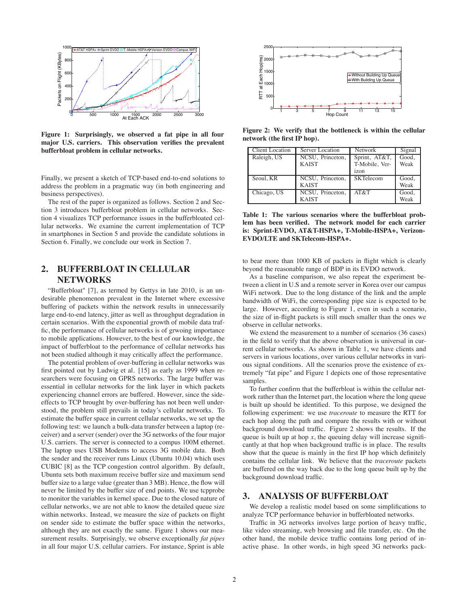

**Figure 1: Surprisingly, we observed a fat pipe in all four major U.S. carriers. This observation verifies the prevalent bufferbloat problem in cellular networks.**

Finally, we present a sketch of TCP-based end-to-end solutions to address the problem in a pragmatic way (in both engineering and business perspectives).

The rest of the paper is organized as follows. Section 2 and Section 3 introduces bufferbloat problem in cellular networks. Section 4 visualizes TCP performance issues in the bufferbloated cellular networks. We examine the current implementation of TCP in smartphones in Section 5 and provide the candidate solutions in Section 6. Finally, we conclude our work in Section 7.

# **2. BUFFERBLOAT IN CELLULAR NETWORKS**

"Bufferbloat" [7], as termed by Gettys in late 2010, is an undesirable phenomenon prevalent in the Internet where excessive buffering of packets within the network results in unnecessarily large end-to-end latency, jitter as well as throughput degradation in certain scenarios. With the exponential growth of mobile data traffic, the performance of cellular networks is of grwoing importance to mobile applications. However, to the best of our knowledge, the impact of bufferbloat to the performance of cellular networks has not been studied although it may critically affect the performance.

The potential problem of over-buffering in cellular networks was first pointed out by Ludwig et al. [15] as early as 1999 when researchers were focusing on GPRS networks. The large buffer was essential in cellular networks for the link layer in which packets experiencing channel errors are buffered. However, since the sideeffects to TCP brought by over-buffering has not been well understood, the problem still prevails in today's cellular networks. To estimate the buffer space in current cellular networks, we set up the following test: we launch a bulk-data transfer between a laptop (receiver) and a server (sender) over the 3G networks of the four major U.S. carriers. The server is connected to a compus 100M ethernet. The laptop uses USB Modems to access 3G mobile data. Both the sender and the receiver runs Linux (Ubuntu 10.04) which uses CUBIC [8] as the TCP congestion control algorithm. By default, Ubuntu sets both maximum receive buffer size and maximum send buffer size to a large value (greater than 3 MB). Hence, the flow will never be limited by the buffer size of end points. We use tcpprobe to monitor the variables in kernel space. Due to the closed nature of cellular networks, we are not able to know the detailed queue size within networks. Instead, we measure the size of packets on flight on sender side to estimate the buffer space within the networks, although they are not exactly the same. Figure 1 shows our measurement results. Surprisingly, we observe exceptionally *fat pipes* in all four major U.S. cellular carriers. For instance, Sprint is able



**Figure 2: We verify that the bottleneck is within the cellular network (the first IP hop).**

| <b>Client Location</b> | Server Location  | <b>Network</b>   | Signal |
|------------------------|------------------|------------------|--------|
| Raleigh, US            | NCSU, Princeton, | Sprint, AT&T,    | Good.  |
|                        | <b>KAIST</b>     | T-Mobile, Ver-   | Weak   |
|                        |                  | izon             |        |
| Seoul, KR              | NCSU, Princeton, | <b>SKTelecom</b> | Good,  |
|                        | <b>KAIST</b>     |                  | Weak   |
| Chicago, US            | NCSU, Princeton, | AT&T             | Good.  |
|                        | <b>KAIST</b>     |                  | Weak   |

**Table 1: The various scenarios where the bufferbloat problem has been verified. The network model for each carrier is: Sprint-EVDO, AT&T-HSPA+, T-Mobile-HSPA+, Verizon-EVDO/LTE and SKTelecom-HSPA+.**

to bear more than 1000 KB of packets in flight which is clearly beyond the reasonable range of BDP in its EVDO network.

As a baseline comparison, we also repeat the experiment between a client in U.S and a remote server in Korea over our campus WiFi network. Due to the long distance of the link and the ample bandwidth of WiFi, the corresponding pipe size is expected to be large. However, according to Figure 1, even in such a scenario, the size of in-flight packets is still much smaller than the ones we observe in cellular networks.

We extend the measurement to a number of scenarios (36 cases) in the field to verify that the above observation is universal in current cellular networks. As shown in Table 1, we have clients and servers in various locations, over various cellular networks in various signal conditions. All the scenarios prove the existence of extremely "fat pipe" and Figure 1 depicts one of those representative samples.

To further confirm that the bufferbloat is within the cellular network rather than the Internet part, the location where the long queue is built up should be identified. To this purpose, we designed the following experiment: we use *traceroute* to measure the RTT for each hop along the path and compare the results with or without background download traffic. Figure 2 shows the results. If the queue is built up at hop  $x$ , the queuing delay will increase significantly at that hop when background traffic is in place. The results show that the queue is mainly in the first IP hop which definitely contains the cellular link. We believe that the *traceroute* packets are buffered on the way back due to the long queue built up by the background download traffic.

## **3. ANALYSIS OF BUFFERBLOAT**

We develop a realistic model based on some simplifications to analyze TCP performance behavior in bufferbloated networks.

Traffic in 3G networks involves large portion of heavy traffic, like video streaming, web browsing and file transfer, etc. On the other hand, the mobile device traffic contains long period of inactive phase. In other words, in high speed 3G networks pack-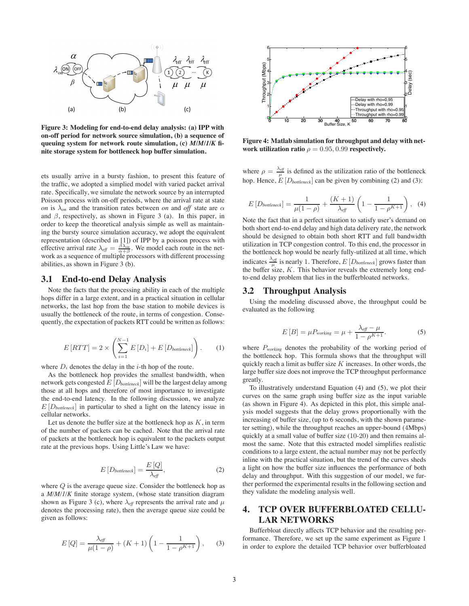

**Figure 3: Modeling for end-to-end delay analysis: (a) IPP with on-off period for network source simulation, (b) a sequence of queuing system for network route simulation, (c)** *M/M/1/K* **finite storage system for bottleneck hop buffer simulation.**

ets usually arrive in a bursty fashion, to present this feature of the traffic, we adopted a simplied model with varied packet arrival rate. Specifically, we simulate the network source by an interrupted Poisson process with on-off periods, where the arrival rate at state *on* is  $\lambda_{on}$  and the transition rates between *on* and *off* state are  $\alpha$ and  $\beta$ , respectively, as shown in Figure 3 (a). In this paper, in order to keep the theoretical analysis simple as well as maintaining the bursty source simulation accuracy, we adopt the equivalent representation (described in [1]) of IPP by a poisson process with effective arrival rate  $\lambda_{\text{eff}} = \frac{\beta \lambda_{\text{on}}}{\alpha + \beta}$ . We model each route in the network as a sequence of multiple processors with different processing abilities, as shown in Figure 3 (b).

## **3.1 End-to-end Delay Analysis**

Note the facts that the processing ability in each of the multiple hops differ in a large extent, and in a practical situation in cellular networks, the last hop from the base station to mobile devices is usually the bottleneck of the route, in terms of congestion. Consequently, the expectation of packets RTT could be written as follows:

$$
E\left[RTT\right] = 2 \times \left(\sum_{i=1}^{N-1} E\left[D_i\right] + E\left[D_{\text{bottleneck}}\right]\right). \tag{1}
$$

where  $D_i$  denotes the delay in the *i*-th hop of the route.

As the bottleneck hop provides the smallest bandwidth, when network gets congested E [D*bottleneck*] will be the largest delay among those at all hops and therefore of most importance to investigate the end-to-end latency. In the following discussion, we analyze E [D*bottleneck*] in particular to shed a light on the latency issue in cellular networks.

Let us denote the buffer size at the bottleneck hop as  $K$ , in term of the number of packets can be cached. Note that the arrival rate of packets at the bottleneck hop is equivalent to the packets output rate at the previous hops. Using Little's Law we have:

$$
E[D_{bottlencek}] = \frac{E[Q]}{\lambda_{\text{eff}}},\tag{2}
$$

where  $Q$  is the average queue size. Consider the bottleneck hop as a *M/M/1/K* finite storage system, (whose state transition diagram shown as Figure 3 (c), where  $\lambda_{\text{eff}}$  represents the arrival rate and  $\mu$ denotes the processing rate), then the average queue size could be given as follows:

$$
E\left[Q\right] = \frac{\lambda_{\text{eff}}}{\mu(1-\rho)} + (K+1)\left(1 - \frac{1}{1-\rho^{K+1}}\right),\qquad(3)
$$



**Figure 4: Matlab simulation for throughput and delay with network utilization ratio**  $\rho = 0.95, 0.99$  **respectively.** 

where  $\rho = \frac{\lambda_{\text{eff}}}{\mu}$  is defined as the utilization ratio of the bottleneck hop. Hence,  $E[D_{bottlencek}]$  can be given by combining (2) and (3):

$$
E[D_{bottleneck}] = \frac{1}{\mu(1-\rho)} + \frac{(K+1)}{\lambda_{eff}} \left(1 - \frac{1}{1 - \rho^{K+1}}\right), \quad (4)
$$

Note the fact that in a perfect situation to satisfy user's demand on both short end-to-end delay and high data delivery rate, the network should be designed to obtain both short RTT and full bandwidth utilization in TCP congestion control. To this end, the processor in the bottleneck hop would be nearly fully-utilized at all time, which indicates  $\frac{\lambda_{\text{eff}}}{\mu}$  is nearly 1. Therefore,  $E[D_{\text{bottlencek}}]$  grows faster than the buffer size,  $K$ . This behavior reveals the extremely long endto-end delay problem that lies in the bufferbloated networks.

#### **3.2 Throughput Analysis**

Using the modeling discussed above, the throughput could be evaluated as the following

$$
E[B] = \mu P_{working} = \mu + \frac{\lambda_{\text{eff}} - \mu}{1 - \rho^{K+1}}.
$$
 (5)

where P*working* denotes the probability of the working period of the bottleneck hop. This formula shows that the throughput will quickly reach a limit as buffer size  $K$  increases. In other words, the large buffer size does not improve the TCP throughput performance greatly.

To illustratively understand Equation (4) and (5), we plot their curves on the same graph using buffer size as the input variable (as shown in Figure 4). As depicted in this plot, this simple analysis model suggests that the delay grows proportionally with the increasing of buffer size, (up to 6 seconds, with the shown parameter setting), while the throughput reaches an upper-bound (4Mbps) quickly at a small value of buffer size (10-20) and then remains almost the same. Note that this extracted model simplifies realistic conditions to a large extent, the actual number may not be perfectly inline with the practical situation, but the trend of the curves sheds a light on how the buffer size influences the performance of both delay and throughput. With this suggestion of our model, we further performed the experimental results in the following section and they validate the modeling analysis well.

# **4. TCP OVER BUFFERBLOATED CELLU-LAR NETWORKS**

Bufferbloat directly affects TCP behavior and the resulting performance. Therefore, we set up the same experiment as Figure 1 in order to explore the detailed TCP behavior over bufferbloated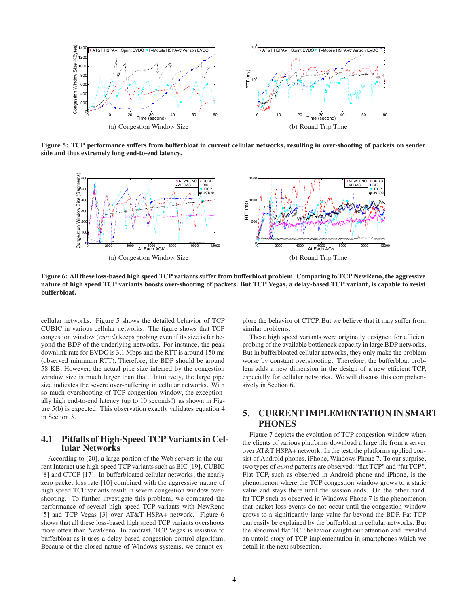

**Figure 5: TCP performance suffers from bufferbloat in current cellular networks, resulting in over-shooting of packets on sender side and thus extremely long end-to-end latency.**



**Figure 6: All these loss-based high speed TCP variants suffer from bufferbloat problem. Comparing to TCP NewReno, the aggressive nature of high speed TCP variants boosts over-shooting of packets. But TCP Vegas, a delay-based TCP variant, is capable to resist bufferbloat.**

cellular networks. Figure 5 shows the detailed behavior of TCP CUBIC in various cellular networks. The figure shows that TCP congestion window (cwnd) keeps probing even if its size is far beyond the BDP of the underlying networks. For instance, the peak downlink rate for EVDO is 3.1 Mbps and the RTT is around 150 ms (observed minimum RTT). Therefore, the BDP should be around 58 KB. However, the actual pipe size inferred by the congestion window size is much larger than that. Intuitively, the large pipe size indicates the severe over-buffering in cellular networks. With so much overshooting of TCP congestion window, the exceptionally high end-to-end latency (up to 10 seconds!) as shown in Figure 5(b) is expected. This observation exactly validates equation 4 in Section 3.

# **4.1 Pitfalls of High-Speed TCP Variants in Cellular Networks**

According to [20], a large portion of the Web servers in the current Internet use high-speed TCP variants such as BIC [19], CUBIC [8] and CTCP [17]. In bufferbloated cellular networks, the nearly zero packet loss rate [10] combined with the aggressive nature of high speed TCP variants result in severe congestion window overshooting. To further investigate this problem, we compared the performance of several high speed TCP variants with NewReno [5] and TCP Vegas [3] over AT&T HSPA+ network. Figure 6 shows that all these loss-based high speed TCP variants overshoots more often than NewReno. In contrast, TCP Vegas is resistive to bufferbloat as it uses a delay-based congestion control algorithm. Because of the closed nature of Windows systems, we cannot explore the behavior of CTCP. But we believe that it may suffer from similar problems.

These high speed variants were originally designed for efficient probing of the available bottleneck capacity in large BDP networks. But in bufferbloated cellular networks, they only make the problem worse by constant overshooting. Therefore, the bufferbloat problem adds a new dimension in the design of a new efficient TCP, especially for cellular networks. We will discuss this comprehensively in Section 6.

# **5. CURRENT IMPLEMENTATION IN SMART PHONES**

Figure 7 depicts the evolution of TCP congestion window when the clients of various platforms download a large file from a server over AT&T HSPA+ network. In the test, the platforms applied consist of Android phones, iPhone, Windows Phone 7. To our surprise, two types of cwnd patterns are observed: "flat TCP" and "fat TCP". Flat TCP, such as observed in Android phone and iPhone, is the phenomenon where the TCP congestion window grows to a static value and stays there until the session ends. On the other hand, fat TCP such as observed in Windows Phone 7 is the phenomenon that packet loss events do not occur until the congestion window grows to a significantly large value far beyond the BDP. Fat TCP can easily be explained by the bufferbloat in cellular networks. But the abnormal flat TCP behavior caught our attention and revealed an untold story of TCP implementation in smartphones which we detail in the next subsection.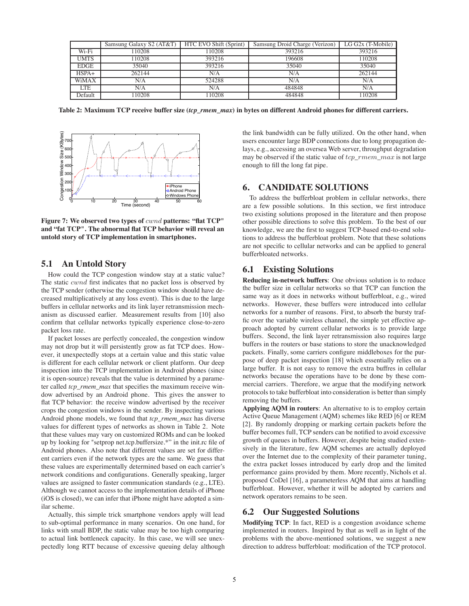|              | Samsung Galaxy S2 (AT&T) | HTC EVO Shift (Sprint) | Samsung Droid Charge (Verizon) | $LG G2x$ (T-Mobile) |
|--------------|--------------------------|------------------------|--------------------------------|---------------------|
| Wi-Fi        | 10208                    | 10208                  | 393216                         | 393216              |
| <b>UMTS</b>  | 110208                   | 393216                 | 196608                         | 110208              |
| <b>EDGE</b>  | 35040                    | 393216                 | 35040                          | 35040               |
| $HSPA+$      | 262144                   | N/A                    | N/A                            | 262144              |
| <b>WiMAX</b> | N/A                      | 524288                 | N/A                            | N/A                 |
| <b>LTE</b>   | N/A                      | N/A                    | 484848                         | N/A                 |
| Default      | 10208                    | 10208                  | 484848                         | 10208               |

**Table 2: Maximum TCP receive buffer size (***tcp\_rmem\_max***) in bytes on different Android phones for different carriers.**



**Figure 7: We observed two types of** cwnd **patterns: "flat TCP" and "fat TCP". The abnormal flat TCP behavior will reveal an untold story of TCP implementation in smartphones.**

## **5.1 An Untold Story**

How could the TCP congestion window stay at a static value? The static *cwnd* first indicates that no packet loss is observed by the TCP sender (otherwise the congestion window should have decreased multiplicatively at any loss event). This is due to the large buffers in cellular networks and its link layer retransmission mechanism as discussed earlier. Measurement results from [10] also confirm that cellular networks typically experience close-to-zero packet loss rate.

If packet losses are perfectly concealed, the congestion window may not drop but it will persistently grow as fat TCP does. However, it unexpectedly stops at a certain value and this static value is different for each cellular network or client platform. Our deep inspection into the TCP implementation in Android phones (since it is open-source) reveals that the value is determined by a parameter called *tcp\_rmem\_max* that specifies the maximum receive window advertised by an Android phone. This gives the answer to flat TCP behavior: the receive window advertised by the receiver crops the congestion windows in the sender. By inspecting various Android phone models, we found that *tcp\_rmem\_max* has diverse values for different types of networks as shown in Table 2. Note that these values may vary on customized ROMs and can be looked up by looking for "setprop net.tcp.buffersize.\*" in the init.rc file of Android phones. Also note that different values are set for different carriers even if the network types are the same. We guess that these values are experimentally determined based on each carrier's network conditions and configurations. Generally speaking, larger values are assigned to faster communication standards (e.g., LTE). Although we cannot access to the implementation details of iPhone (iOS is closed), we can infer that iPhone might have adopted a similar scheme.

Actually, this simple trick smartphone vendors apply will lead to sub-optimal performance in many scenarios. On one hand, for links with small BDP, the static value may be too high comparing to actual link bottleneck capacity. In this case, we will see unexpectedly long RTT because of excessive queuing delay although the link bandwidth can be fully utilized. On the other hand, when users encounter large BDP connections due to long propagation delays, e.g., accessing an oversea Web server, throughput degradation may be observed if the static value of  $top\_rmem\_max$  is not large enough to fill the long fat pipe.

## **6. CANDIDATE SOLUTIONS**

To address the bufferbloat problem in cellular networks, there are a few possible solutions. In this section, we first introduce two existing solutions proposed in the literature and then propose other possible directions to solve this problem. To the best of our knowledge, we are the first to suggest TCP-based end-to-end solutions to address the bufferbloat problem. Note that these solutions are not specific to cellular networks and can be applied to general bufferbloated networks.

### **6.1 Existing Solutions**

**Reducing in-network buffers**: One obvious solution is to reduce the buffer size in cellular networks so that TCP can function the same way as it does in networks without bufferbloat, e.g., wired networks. However, these buffers were introduced into cellular networks for a number of reasons. First, to absorb the bursty traffic over the variable wireless channel, the simple yet effective approach adopted by current cellular networks is to provide large buffers. Second, the link layer retransmission also requires large buffers in the routers or base stations to store the unacknowledged packets. Finally, some carriers configure middleboxes for the purpose of deep packet inspection [18] which essentially relies on a large buffer. It is not easy to remove the extra buffres in cellular networks because the operations have to be done by these commercial carriers. Therefore, we argue that the modifying network protocols to take bufferbloat into consideration is better than simply removing the buffers.

**Applying AQM in routers**: An alternative to is to employ certain Active Queue Management (AQM) schemes like RED [6] or REM [2]. By randomly dropping or marking certain packets before the buffer becomes full, TCP senders can be notified to avoid excessive growth of queues in buffers. However, despite being studied extensively in the literature, few AQM schemes are actually deployed over the Internet due to the complexity of their parameter tuning, the extra packet losses introduced by early drop and the limited performance gains provided by them. More recently, Nichols et al. proposed CoDel [16], a parameterless AQM that aims at handling bufferbloat. However, whether it will be adopted by carriers and network operators remains to be seen.

#### **6.2 Our Suggested Solutions**

**Modifying TCP**: In fact, RED is a congestion avoidance scheme implemented in routers. Inspired by that as well as in light of the problems with the above-mentioned solutions, we suggest a new direction to address bufferbloat: modification of the TCP protocol.